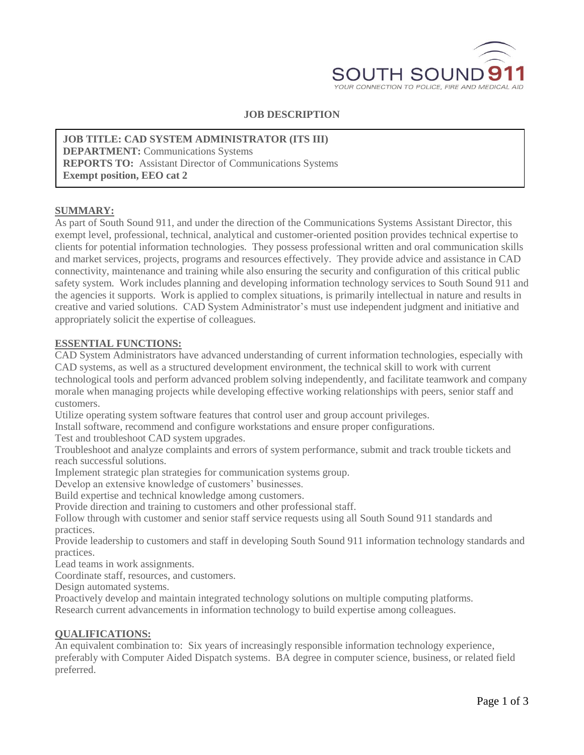

#### **JOB DESCRIPTION**

**JOB TITLE: CAD SYSTEM ADMINISTRATOR (ITS III) DEPARTMENT:** Communications Systems **REPORTS TO:** Assistant Director of Communications Systems **Exempt position, EEO cat 2**

#### **SUMMARY:**

As part of South Sound 911, and under the direction of the Communications Systems Assistant Director, this exempt level, professional, technical, analytical and customer-oriented position provides technical expertise to clients for potential information technologies. They possess professional written and oral communication skills and market services, projects, programs and resources effectively. They provide advice and assistance in CAD connectivity, maintenance and training while also ensuring the security and configuration of this critical public safety system. Work includes planning and developing information technology services to South Sound 911 and the agencies it supports. Work is applied to complex situations, is primarily intellectual in nature and results in creative and varied solutions. CAD System Administrator's must use independent judgment and initiative and appropriately solicit the expertise of colleagues.

#### **ESSENTIAL FUNCTIONS:**

CAD System Administrators have advanced understanding of current information technologies, especially with CAD systems, as well as a structured development environment, the technical skill to work with current technological tools and perform advanced problem solving independently, and facilitate teamwork and company morale when managing projects while developing effective working relationships with peers, senior staff and customers.

Utilize operating system software features that control user and group account privileges.

Install software, recommend and configure workstations and ensure proper configurations.

Test and troubleshoot CAD system upgrades.

Troubleshoot and analyze complaints and errors of system performance, submit and track trouble tickets and reach successful solutions.

Implement strategic plan strategies for communication systems group.

Develop an extensive knowledge of customers' businesses.

Build expertise and technical knowledge among customers.

Provide direction and training to customers and other professional staff.

Follow through with customer and senior staff service requests using all South Sound 911 standards and practices.

Provide leadership to customers and staff in developing South Sound 911 information technology standards and practices.

Lead teams in work assignments.

Coordinate staff, resources, and customers.

Design automated systems.

Proactively develop and maintain integrated technology solutions on multiple computing platforms. Research current advancements in information technology to build expertise among colleagues.

#### **QUALIFICATIONS:**

An equivalent combination to: Six years of increasingly responsible information technology experience, preferably with Computer Aided Dispatch systems. BA degree in computer science, business, or related field preferred.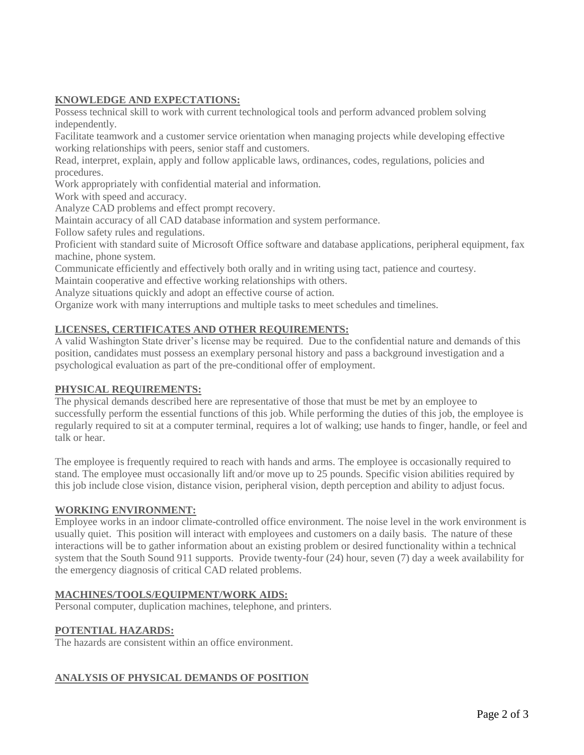### **KNOWLEDGE AND EXPECTATIONS:**

Possess technical skill to work with current technological tools and perform advanced problem solving independently.

Facilitate teamwork and a customer service orientation when managing projects while developing effective working relationships with peers, senior staff and customers.

Read, interpret, explain, apply and follow applicable laws, ordinances, codes, regulations, policies and procedures.

Work appropriately with confidential material and information.

Work with speed and accuracy.

Analyze CAD problems and effect prompt recovery.

Maintain accuracy of all CAD database information and system performance.

Follow safety rules and regulations.

Proficient with standard suite of Microsoft Office software and database applications, peripheral equipment, fax machine, phone system.

Communicate efficiently and effectively both orally and in writing using tact, patience and courtesy.

Maintain cooperative and effective working relationships with others.

Analyze situations quickly and adopt an effective course of action.

Organize work with many interruptions and multiple tasks to meet schedules and timelines.

## **LICENSES, CERTIFICATES AND OTHER REQUIREMENTS:**

A valid Washington State driver's license may be required. Due to the confidential nature and demands of this position, candidates must possess an exemplary personal history and pass a background investigation and a psychological evaluation as part of the pre-conditional offer of employment.

### **PHYSICAL REQUIREMENTS:**

The physical demands described here are representative of those that must be met by an employee to successfully perform the essential functions of this job. While performing the duties of this job, the employee is regularly required to sit at a computer terminal, requires a lot of walking; use hands to finger, handle, or feel and talk or hear.

The employee is frequently required to reach with hands and arms. The employee is occasionally required to stand. The employee must occasionally lift and/or move up to 25 pounds. Specific vision abilities required by this job include close vision, distance vision, peripheral vision, depth perception and ability to adjust focus.

### **WORKING ENVIRONMENT:**

Employee works in an indoor climate-controlled office environment. The noise level in the work environment is usually quiet. This position will interact with employees and customers on a daily basis. The nature of these interactions will be to gather information about an existing problem or desired functionality within a technical system that the South Sound 911 supports. Provide twenty-four (24) hour, seven (7) day a week availability for the emergency diagnosis of critical CAD related problems.

### **MACHINES/TOOLS/EQUIPMENT/WORK AIDS:**

Personal computer, duplication machines, telephone, and printers.

### **POTENTIAL HAZARDS:**

The hazards are consistent within an office environment.

# **ANALYSIS OF PHYSICAL DEMANDS OF POSITION**